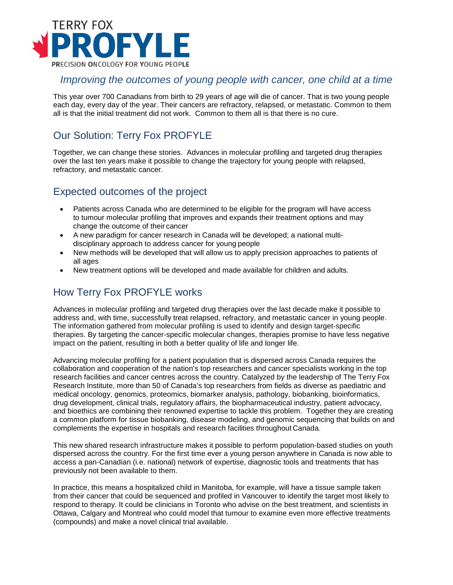

#### *Improving the outcomes of young people with cancer, one child at a time*

This year over 700 Canadians from birth to 29 years of age will die of cancer. That is two young people each day, every day of the year. Their cancers are refractory, relapsed, or metastatic. Common to them all is that the initial treatment did not work. Common to them all is that there is no cure.

## Our Solution: Terry Fox PROFYLE

Together, we can change these stories. Advances in molecular profiling and targeted drug therapies over the last ten years make it possible to change the trajectory for young people with relapsed, refractory, and metastatic cancer.

### Expected outcomes of the project

- Patients across Canada who are determined to be eligible for the program will have access to tumour molecular profiling that improves and expands their treatment options and may change the outcome of their cancer
- A new paradigm for cancer research in Canada will be developed; a national multidisciplinary approach to address cancer for young people
- New methods will be developed that will allow us to apply precision approaches to patients of all ages
- New treatment options will be developed and made available for children and adults.

## How Terry Fox PROFYLE works

Advances in molecular profiling and targeted drug therapies over the last decade make it possible to address and, with time, successfully treat relapsed, refractory, and metastatic cancer in young people. The information gathered from molecular profiling is used to identify and design target-specific therapies. By targeting the cancer-specific molecular changes, therapies promise to have less negative impact on the patient, resulting in both a better quality of life and longer life.

Advancing molecular profiling for a patient population that is dispersed across Canada requires the collaboration and cooperation of the nation's top researchers and cancer specialists working in the top research facilities and cancer centres across the country. Catalyzed by the leadership of The Terry Fox Research Institute, more than 50 of Canada's top researchers from fields as diverse as paediatric and medical oncology, genomics, proteomics, biomarker analysis, pathology, biobanking, bioinformatics, drug development, clinical trials, regulatory affairs, the biopharmaceutical industry, patient advocacy, and bioethics are combining their renowned expertise to tackle this problem. Together they are creating a common platform for tissue biobanking, disease modeling, and genomic sequencing that builds on and complements the expertise in hospitals and research facilities throughout Canada.

This new shared research infrastructure makes it possible to perform population-based studies on youth dispersed across the country. For the first time ever a young person anywhere in Canada is now able to access a pan-Canadian (i.e. national) network of expertise, diagnostic tools and treatments that has previously not been available to them.

In practice, this means a hospitalized child in Manitoba, for example, will have a tissue sample taken from their cancer that could be sequenced and profiled in Vancouver to identify the target most likely to respond to therapy. It could be clinicians in Toronto who advise on the best treatment, and scientists in Ottawa, Calgary and Montreal who could model that tumour to examine even more effective treatments (compounds) and make a novel clinical trial available.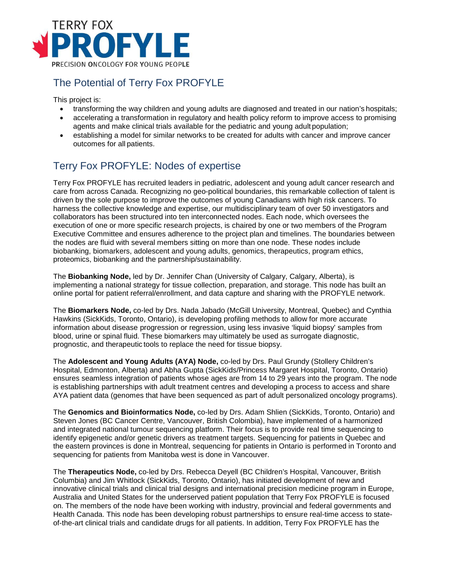

## The Potential of Terry Fox PROFYLE

This project is:

- transforming the way children and young adults are diagnosed and treated in our nation's hospitals;
- accelerating a transformation in regulatory and health policy reform to improve access to promising agents and make clinical trials available for the pediatric and young adult population;
- establishing a model for similar networks to be created for adults with cancer and improve cancer outcomes for all patients.

# Terry Fox PROFYLE: Nodes of expertise

Terry Fox PROFYLE has recruited leaders in pediatric, adolescent and young adult cancer research and care from across Canada. Recognizing no geo-political boundaries, this remarkable collection of talent is driven by the sole purpose to improve the outcomes of young Canadians with high risk cancers. To harness the collective knowledge and expertise, our multidisciplinary team of over 50 investigators and collaborators has been structured into ten interconnected nodes. Each node, which oversees the execution of one or more specific research projects, is chaired by one or two members of the Program Executive Committee and ensures adherence to the project plan and timelines. The boundaries between the nodes are fluid with several members sitting on more than one node. These nodes include biobanking, biomarkers, adolescent and young adults, genomics, therapeutics, program ethics, proteomics, biobanking and the partnership/sustainability.

The **Biobanking Node,** led by Dr. Jennifer Chan (University of Calgary, Calgary, Alberta), is implementing a national strategy for tissue collection, preparation, and storage. This node has built an online portal for patient referral/enrollment, and data capture and sharing with the PROFYLE network.

The **Biomarkers Node,** co-led by Drs. Nada Jabado (McGill University, Montreal, Quebec) and Cynthia Hawkins (SickKids, Toronto, Ontario), is developing profiling methods to allow for more accurate information about disease progression or regression, using less invasive 'liquid biopsy' samples from blood, urine or spinal fluid. These biomarkers may ultimately be used as surrogate diagnostic, prognostic, and therapeutic tools to replace the need for tissue biopsy.

The **Adolescent and Young Adults (AYA) Node,** co-led by Drs. Paul Grundy (Stollery Children's Hospital, Edmonton, Alberta) and Abha Gupta (SickKids/Princess Margaret Hospital, Toronto, Ontario) ensures seamless integration of patients whose ages are from 14 to 29 years into the program. The node is establishing partnerships with adult treatment centres and developing a process to access and share AYA patient data (genomes that have been sequenced as part of adult personalized oncology programs).

The **Genomics and Bioinformatics Node,** co-led by Drs. Adam Shlien (SickKids, Toronto, Ontario) and Steven Jones (BC Cancer Centre, Vancouver, British Colombia), have implemented of a harmonized and integrated national tumour sequencing platform. Their focus is to provide real time sequencing to identify epigenetic and/or genetic drivers as treatment targets. Sequencing for patients in Quebec and the eastern provinces is done in Montreal, sequencing for patients in Ontario is performed in Toronto and sequencing for patients from Manitoba west is done in Vancouver.

The **Therapeutics Node,** co-led by Drs. Rebecca Deyell (BC Children's Hospital, Vancouver, British Columbia) and Jim Whitlock (SickKids, Toronto, Ontario), has initiated development of new and innovative clinical trials and clinical trial designs and international precision medicine program in Europe, Australia and United States for the underserved patient population that Terry Fox PROFYLE is focused on. The members of the node have been working with industry, provincial and federal governments and Health Canada. This node has been developing robust partnerships to ensure real-time access to stateof-the-art clinical trials and candidate drugs for all patients. In addition, Terry Fox PROFYLE has the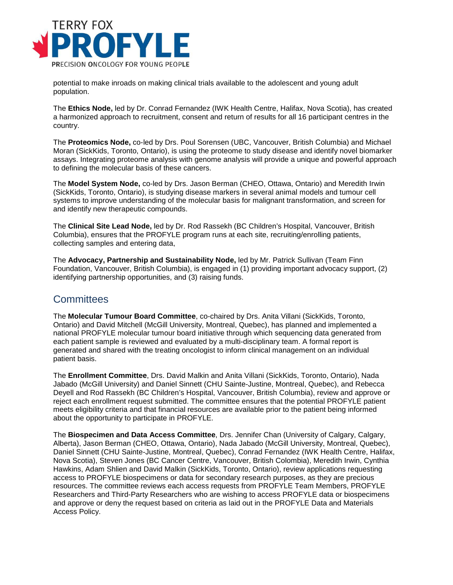

potential to make inroads on making clinical trials available to the adolescent and young adult population.

The **Ethics Node,** led by Dr. Conrad Fernandez (IWK Health Centre, Halifax, Nova Scotia), has created a harmonized approach to recruitment, consent and return of results for all 16 participant centres in the country.

The **Proteomics Node,** co-led by Drs. Poul Sorensen (UBC, Vancouver, British Columbia) and Michael Moran (SickKids, Toronto, Ontario), is using the proteome to study disease and identify novel biomarker assays. Integrating proteome analysis with genome analysis will provide a unique and powerful approach to defining the molecular basis of these cancers.

The **Model System Node,** co-led by Drs. Jason Berman (CHEO, Ottawa, Ontario) and Meredith Irwin (SickKids, Toronto, Ontario), is studying disease markers in several animal models and tumour cell systems to improve understanding of the molecular basis for malignant transformation, and screen for and identify new therapeutic compounds.

The **Clinical Site Lead Node,** led by Dr. Rod Rassekh (BC Children's Hospital, Vancouver, British Columbia), ensures that the PROFYLE program runs at each site, recruiting/enrolling patients, collecting samples and entering data,

The **Advocacy, Partnership and Sustainability Node,** led by Mr. Patrick Sullivan (Team Finn Foundation, Vancouver, British Columbia), is engaged in (1) providing important advocacy support, (2) identifying partnership opportunities, and (3) raising funds.

### **Committees**

The **Molecular Tumour Board Committee**, co-chaired by Drs. Anita Villani (SickKids, Toronto, Ontario) and David Mitchell (McGill University, Montreal, Quebec), has planned and implemented a national PROFYLE molecular tumour board initiative through which sequencing data generated from each patient sample is reviewed and evaluated by a multi-disciplinary team. A formal report is generated and shared with the treating oncologist to inform clinical management on an individual patient basis.

The **Enrollment Committee**, Drs. David Malkin and Anita Villani (SickKids, Toronto, Ontario), Nada Jabado (McGill University) and Daniel Sinnett (CHU Sainte-Justine, Montreal, Quebec), and Rebecca Deyell and Rod Rassekh (BC Children's Hospital, Vancouver, British Columbia), review and approve or reject each enrollment request submitted. The committee ensures that the potential PROFYLE patient meets eligibility criteria and that financial resources are available prior to the patient being informed about the opportunity to participate in PROFYLE.

The **Biospecimen and Data Access Committee**, Drs. Jennifer Chan (University of Calgary, Calgary, Alberta), Jason Berman (CHEO, Ottawa, Ontario), Nada Jabado (McGill University, Montreal, Quebec), Daniel Sinnett (CHU Sainte-Justine, Montreal, Quebec), Conrad Fernandez (IWK Health Centre, Halifax, Nova Scotia), Steven Jones (BC Cancer Centre, Vancouver, British Colombia), Meredith Irwin, Cynthia Hawkins, Adam Shlien and David Malkin (SickKids, Toronto, Ontario), review applications requesting access to PROFYLE biospecimens or data for secondary research purposes, as they are precious resources. The committee reviews each access requests from PROFYLE Team Members, PROFYLE Researchers and Third-Party Researchers who are wishing to access PROFYLE data or biospecimens and approve or deny the request based on criteria as laid out in the PROFYLE Data and Materials Access Policy.